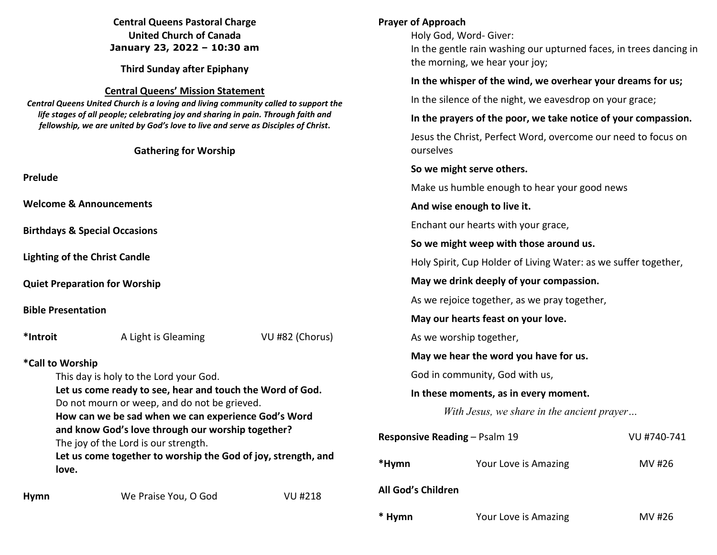|                                                                                                                                                                         | <b>Central Queens Pastoral Charge</b><br><b>United Church of Canada</b><br>January 23, 2022 - 10:30 am<br><b>Third Sunday after Epiphany</b>                           |                | <b>Prayer of Approach</b>                                                               | Holy God, Word- Giver:<br>In the gentle rain washing our upturned faces, in trees dancing in<br>the morning, we hear your joy; |                 |
|-------------------------------------------------------------------------------------------------------------------------------------------------------------------------|------------------------------------------------------------------------------------------------------------------------------------------------------------------------|----------------|-----------------------------------------------------------------------------------------|--------------------------------------------------------------------------------------------------------------------------------|-----------------|
|                                                                                                                                                                         |                                                                                                                                                                        |                |                                                                                         | In the whisper of the wind, we overhear your dreams for us;                                                                    |                 |
|                                                                                                                                                                         | <b>Central Queens' Mission Statement</b><br>Central Queens United Church is a loving and living community called to support the                                        |                | In the silence of the night, we eavesdrop on your grace;                                |                                                                                                                                |                 |
|                                                                                                                                                                         | life stages of all people; celebrating joy and sharing in pain. Through faith and<br>fellowship, we are united by God's love to live and serve as Disciples of Christ. |                | In the prayers of the poor, we take notice of your compassion.                          |                                                                                                                                |                 |
|                                                                                                                                                                         | <b>Gathering for Worship</b>                                                                                                                                           |                | Jesus the Christ, Perfect Word, overcome our need to focus on<br>ourselves              |                                                                                                                                |                 |
|                                                                                                                                                                         |                                                                                                                                                                        |                |                                                                                         | So we might serve others.                                                                                                      |                 |
| Prelude                                                                                                                                                                 |                                                                                                                                                                        |                | Make us humble enough to hear your good news                                            |                                                                                                                                |                 |
| <b>Welcome &amp; Announcements</b>                                                                                                                                      |                                                                                                                                                                        |                | And wise enough to live it.                                                             |                                                                                                                                |                 |
|                                                                                                                                                                         |                                                                                                                                                                        |                | Enchant our hearts with your grace,                                                     |                                                                                                                                |                 |
|                                                                                                                                                                         | <b>Birthdays &amp; Special Occasions</b>                                                                                                                               |                | So we might weep with those around us.                                                  |                                                                                                                                |                 |
| <b>Lighting of the Christ Candle</b>                                                                                                                                    |                                                                                                                                                                        |                | Holy Spirit, Cup Holder of Living Water: as we suffer together,                         |                                                                                                                                |                 |
| <b>Quiet Preparation for Worship</b><br><b>Bible Presentation</b>                                                                                                       |                                                                                                                                                                        |                | May we drink deeply of your compassion.<br>As we rejoice together, as we pray together, |                                                                                                                                |                 |
|                                                                                                                                                                         |                                                                                                                                                                        |                |                                                                                         |                                                                                                                                |                 |
|                                                                                                                                                                         |                                                                                                                                                                        |                | *Introit                                                                                | A Light is Gleaming                                                                                                            | VU #82 (Chorus) |
|                                                                                                                                                                         |                                                                                                                                                                        |                |                                                                                         | May we hear the word you have for us.                                                                                          |                 |
| *Call to Worship<br>This day is holy to the Lord your God.<br>Let us come ready to see, hear and touch the Word of God.<br>Do not mourn or weep, and do not be grieved. |                                                                                                                                                                        |                | God in community, God with us,                                                          |                                                                                                                                |                 |
|                                                                                                                                                                         |                                                                                                                                                                        |                | In these moments, as in every moment.                                                   |                                                                                                                                |                 |
|                                                                                                                                                                         |                                                                                                                                                                        |                | With Jesus, we share in the ancient prayer                                              |                                                                                                                                |                 |
|                                                                                                                                                                         | How can we be sad when we can experience God's Word<br>and know God's love through our worship together?<br>The joy of the Lord is our strength.                       |                | Responsive Reading - Psalm 19<br>VU #740-741                                            |                                                                                                                                |                 |
|                                                                                                                                                                         | Let us come together to worship the God of joy, strength, and<br>love.                                                                                                 |                | *Hymn                                                                                   | Your Love is Amazing                                                                                                           | MV #26          |
| <b>Hymn</b>                                                                                                                                                             | We Praise You, O God                                                                                                                                                   | <b>VU #218</b> | All God's Children                                                                      |                                                                                                                                |                 |

**\* Hymn** Your Love is Amazing MV #26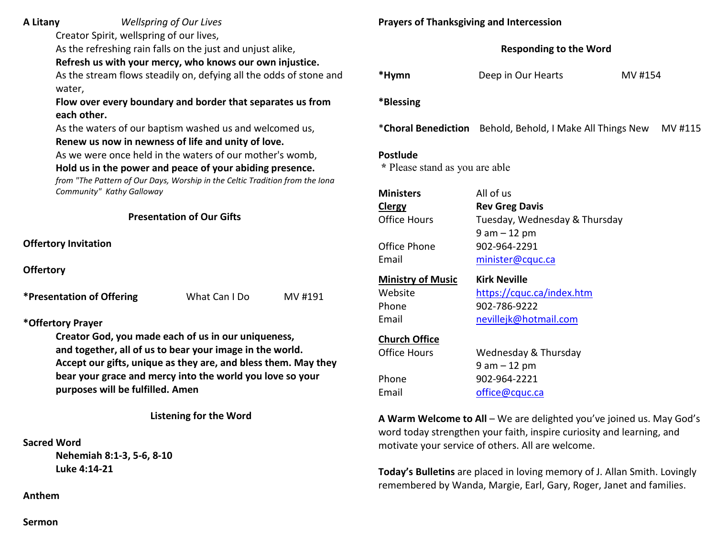**A Litany** *Wellspring of Our Lives*

Creator Spirit, wellspring of our lives,

As the refreshing rain falls on the just and unjust alike,

 **Refresh us with your mercy, who knows our own injustice.** 

 As the stream flows steadily on, defying all the odds of stone and water,

 **Flow over every boundary and border that separates us from each other.** 

 As the waters of our baptism washed us and welcomed us,  **Renew us now in newness of life and unity of love.**

As we were once held in the waters of our mother's womb,

# **Hold us in the power and peace of your abiding presence.**

*from "The Pattern of Our Days, Worship in the Celtic Tradition from the Iona Community" Kathy Galloway* 

**Presentation of Our Gifts**

**Offertory Invitation** 

**Offertory**

| *Presentation of Offering | What Can I Do | MV #191 |
|---------------------------|---------------|---------|
|---------------------------|---------------|---------|

**\*Offertory Prayer** 

**Creator God, you made each of us in our uniqueness, and together, all of us to bear your image in the world. Accept our gifts, unique as they are, and bless them. May they bear your grace and mercy into the world you love so your purposes will be fulfilled. Amen** 

**Listening for the Word** 

# **Sacred Word**

 **Nehemiah 8:1-3, 5-6, 8-10 Luke 4:14-21** 

**Anthem** 

# **Prayers of Thanksgiving and Intercession**

| <b>Responding to the Word</b> |  |  |
|-------------------------------|--|--|
|                               |  |  |

| *Hymn     | Deep in Our Hearts | MV #154 |
|-----------|--------------------|---------|
| *Blessing |                    |         |

\***Choral Benediction** Behold, Behold, I Make All Things New MV #115

### **Postlude**

 **\*** Please stand as you are able

| <b>Ministers</b><br><b>Clergy</b><br>Office Hours<br>Office Phone<br>Email | All of us<br><b>Rev Greg Davis</b><br>Tuesday, Wednesday & Thursday<br>$9$ am $-12$ pm<br>902-964-2291<br>minister@cquc.ca |
|----------------------------------------------------------------------------|----------------------------------------------------------------------------------------------------------------------------|
| <b>Ministry of Music</b>                                                   | <b>Kirk Neville</b>                                                                                                        |
| Website                                                                    | https://cquc.ca/index.htm                                                                                                  |
| Phone                                                                      | 902-786-9222                                                                                                               |
| Email                                                                      | nevillejk@hotmail.com                                                                                                      |
| <b>Church Office</b>                                                       | Wednesday & Thursday                                                                                                       |
| Office Hours                                                               | 9 am – 12 pm                                                                                                               |
| Phone                                                                      | 902-964-2221                                                                                                               |
| Email                                                                      | office@cquc.ca                                                                                                             |

**A Warm Welcome to All** – We are delighted you've joined us. May God's word today strengthen your faith, inspire curiosity and learning, and motivate your service of others. All are welcome.

**Today's Bulletins** are placed in loving memory of J. Allan Smith. Lovingly remembered by Wanda, Margie, Earl, Gary, Roger, Janet and families.